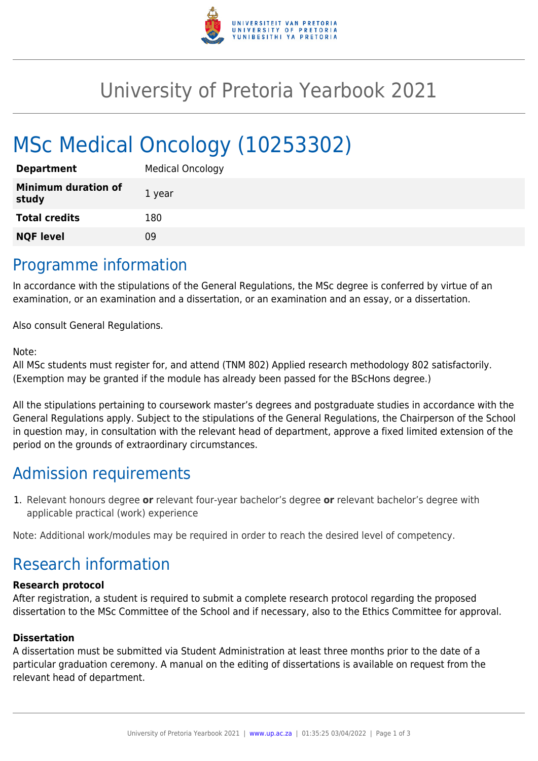

## University of Pretoria Yearbook 2021

# MSc Medical Oncology (10253302)

| <b>Department</b>                   | <b>Medical Oncology</b> |
|-------------------------------------|-------------------------|
| <b>Minimum duration of</b><br>study | 1 year                  |
| <b>Total credits</b>                | 180                     |
| <b>NQF level</b>                    | Ωd                      |

### Programme information

In accordance with the stipulations of the General Regulations, the MSc degree is conferred by virtue of an examination, or an examination and a dissertation, or an examination and an essay, or a dissertation.

Also consult General Regulations.

#### Note:

All MSc students must register for, and attend (TNM 802) Applied research methodology 802 satisfactorily. (Exemption may be granted if the module has already been passed for the BScHons degree.)

All the stipulations pertaining to coursework master's degrees and postgraduate studies in accordance with the General Regulations apply. Subject to the stipulations of the General Regulations, the Chairperson of the School in question may, in consultation with the relevant head of department, approve a fixed limited extension of the period on the grounds of extraordinary circumstances.

## Admission requirements

1. Relevant honours degree **or** relevant four-year bachelor's degree **or** relevant bachelor's degree with applicable practical (work) experience

Note: Additional work/modules may be required in order to reach the desired level of competency.

## Research information

#### **Research protocol**

After registration, a student is required to submit a complete research protocol regarding the proposed dissertation to the MSc Committee of the School and if necessary, also to the Ethics Committee for approval.

#### **Dissertation**

A dissertation must be submitted via Student Administration at least three months prior to the date of a particular graduation ceremony. A manual on the editing of dissertations is available on request from the relevant head of department.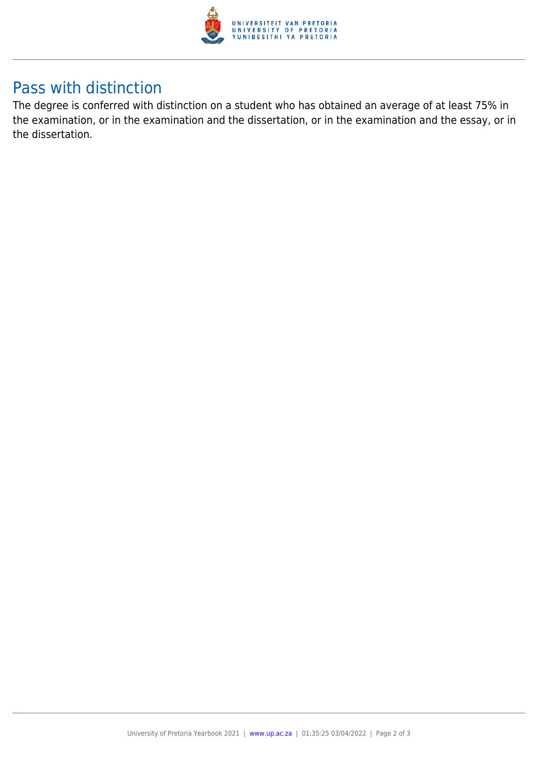

## Pass with distinction

The degree is conferred with distinction on a student who has obtained an average of at least 75% in the examination, or in the examination and the dissertation, or in the examination and the essay, or in the dissertation.